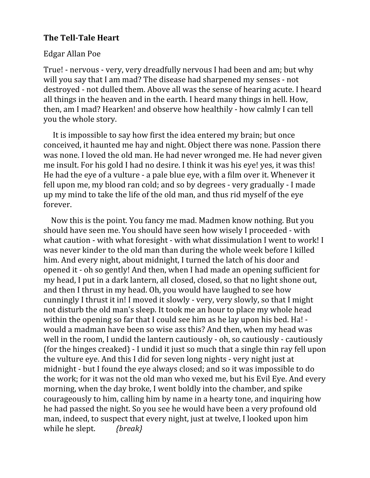## **The Tell-Tale Heart**

## Edgar Allan Poe

True! ‐ nervous ‐ very, very dreadfully nervous I had been and am; but why will you say that I am mad? The disease had sharpened my senses ‐ not destroyed ‐ not dulled them. Above all was the sense of hearing acute. I heard all things in the heaven and in the earth. I heard many things in hell. How, then, am I mad? Hearken! and observe how healthily ‐ how calmly I can tell you the whole story.

 It is impossible to say how first the idea entered my brain; but once conceived, it haunted me hay and night. Object there was none. Passion there was none. I loved the old man. He had never wronged me. He had never given me insult. For his gold I had no desire. I think it was his eye! yes, it was this! He had the eye of a vulture ‐ a pale blue eye, with a film over it. Whenever it fell upon me, my blood ran cold; and so by degrees ‐ very gradually ‐ I made up my mind to take the life of the old man, and thus rid myself of the eye forever.

 Now this is the point. You fancy me mad. Madmen know nothing. But you should have seen me. You should have seen how wisely I proceeded ‐ with what caution - with what foresight - with what dissimulation I went to work! I was never kinder to the old man than during the whole week before I killed him. And every night, about midnight, I turned the latch of his door and opened it ‐ oh so gently! And then, when I had made an opening sufficient for my head, I put in a dark lantern, all closed, closed, so that no light shone out, and then I thrust in my head. Oh, you would have laughed to see how cunningly I thrust it in! I moved it slowly ‐ very, very slowly, so that I might not disturb the old man's sleep. It took me an hour to place my whole head within the opening so far that I could see him as he lay upon his bed. Ha! ‐ would a madman have been so wise ass this? And then, when my head was well in the room, I undid the lantern cautiously ‐ oh, so cautiously ‐ cautiously (for the hinges creaked) ‐ I undid it just so much that a single thin ray fell upon the vulture eye. And this I did for seven long nights ‐ very night just at midnight ‐ but I found the eye always closed; and so it was impossible to do the work; for it was not the old man who vexed me, but his Evil Eye. And every morning, when the day broke, I went boldly into the chamber, and spike courageously to him, calling him by name in a hearty tone, and inquiring how he had passed the night. So you see he would have been a very profound old man, indeed, to suspect that every night, just at twelve, I looked upon him while he slept. *{break}*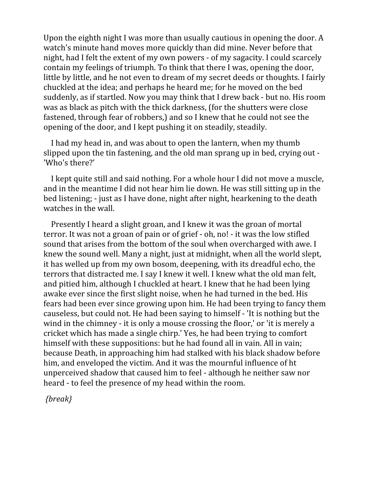Upon the eighth night I was more than usually cautious in opening the door. A watch's minute hand moves more quickly than did mine. Never before that night, had I felt the extent of my own powers ‐ of my sagacity. I could scarcely contain my feelings of triumph. To think that there I was, opening the door, little by little, and he not even to dream of my secret deeds or thoughts. I fairly chuckled at the idea; and perhaps he heard me; for he moved on the bed suddenly, as if startled. Now you may think that I drew back ‐ but no. His room was as black as pitch with the thick darkness, (for the shutters were close fastened, through fear of robbers,) and so I knew that he could not see the opening of the door, and I kept pushing it on steadily, steadily.

 I had my head in, and was about to open the lantern, when my thumb slipped upon the tin fastening, and the old man sprang up in bed, crying out ‐ 'Who's there?'

 I kept quite still and said nothing. For a whole hour I did not move a muscle, and in the meantime I did not hear him lie down. He was still sitting up in the bed listening; ‐ just as I have done, night after night, hearkening to the death watches in the wall.

 Presently I heard a slight groan, and I knew it was the groan of mortal terror. It was not a groan of pain or of grief ‐ oh, no! ‐ it was the low stifled sound that arises from the bottom of the soul when overcharged with awe. I knew the sound well. Many a night, just at midnight, when all the world slept, it has welled up from my own bosom, deepening, with its dreadful echo, the terrors that distracted me. I say I knew it well. I knew what the old man felt, and pitied him, although I chuckled at heart. I knew that he had been lying awake ever since the first slight noise, when he had turned in the bed. His fears had been ever since growing upon him. He had been trying to fancy them causeless, but could not. He had been saying to himself ‐ 'It is nothing but the wind in the chimney - it is only a mouse crossing the floor,' or 'it is merely a cricket which has made a single chirp.' Yes, he had been trying to comfort himself with these suppositions: but he had found all in vain. All in vain; because Death, in approaching him had stalked with his black shadow before him, and enveloped the victim. And it was the mournful influence of ht unperceived shadow that caused him to feel ‐ although he neither saw nor heard - to feel the presence of my head within the room.

*{break}*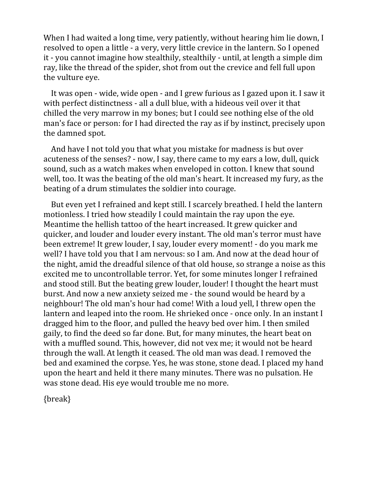When I had waited a long time, very patiently, without hearing him lie down, I resolved to open a little ‐ a very, very little crevice in the lantern. So I opened it ‐ you cannot imagine how stealthily, stealthily ‐ until, at length a simple dim ray, like the thread of the spider, shot from out the crevice and fell full upon the vulture eye.

 It was open ‐ wide, wide open ‐ and I grew furious as I gazed upon it. I saw it with perfect distinctness - all a dull blue, with a hideous veil over it that chilled the very marrow in my bones; but I could see nothing else of the old man's face or person: for I had directed the ray as if by instinct, precisely upon the damned spot.

 And have I not told you that what you mistake for madness is but over acuteness of the senses? ‐ now, I say, there came to my ears a low, dull, quick sound, such as a watch makes when enveloped in cotton. I knew that sound well, too. It was the beating of the old man's heart. It increased my fury, as the beating of a drum stimulates the soldier into courage.

 But even yet I refrained and kept still. I scarcely breathed. I held the lantern motionless. I tried how steadily I could maintain the ray upon the eye. Meantime the hellish tattoo of the heart increased. It grew quicker and quicker, and louder and louder every instant. The old man's terror must have been extreme! It grew louder, I say, louder every moment! ‐ do you mark me well? I have told you that I am nervous: so I am. And now at the dead hour of the night, amid the dreadful silence of that old house, so strange a noise as this excited me to uncontrollable terror. Yet, for some minutes longer I refrained and stood still. But the beating grew louder, louder! I thought the heart must burst. And now a new anxiety seized me ‐ the sound would be heard by a neighbour! The old man's hour had come! With a loud yell, I threw open the lantern and leaped into the room. He shrieked once - once only. In an instant I dragged him to the floor, and pulled the heavy bed over him. I then smiled gaily, to find the deed so far done. But, for many minutes, the heart beat on with a muffled sound. This, however, did not vex me; it would not be heard through the wall. At length it ceased. The old man was dead. I removed the bed and examined the corpse. Yes, he was stone, stone dead. I placed my hand upon the heart and held it there many minutes. There was no pulsation. He was stone dead. His eye would trouble me no more.

{break}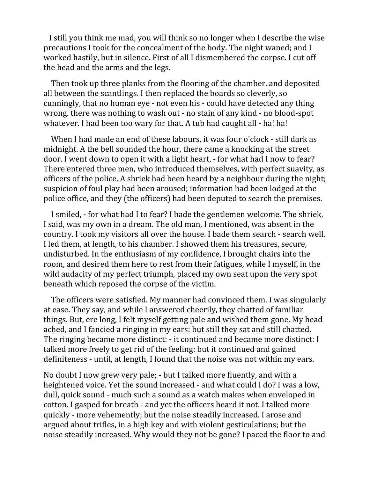I still you think me mad, you will think so no longer when I describe the wise precautions I took for the concealment of the body. The night waned; and I worked hastily, but in silence. First of all I dismembered the corpse. I cut off the head and the arms and the legs.

 Then took up three planks from the flooring of the chamber, and deposited all between the scantlings. I then replaced the boards so cleverly, so cunningly, that no human eye ‐ not even his ‐ could have detected any thing wrong. there was nothing to wash out ‐ no stain of any kind ‐ no blood‐spot whatever. I had been too wary for that. A tub had caught all - ha! ha!

When I had made an end of these labours, it was four o'clock - still dark as midnight. A the bell sounded the hour, there came a knocking at the street door. I went down to open it with a light heart, ‐ for what had I now to fear? There entered three men, who introduced themselves, with perfect suavity, as officers of the police. A shriek had been heard by a neighbour during the night; suspicion of foul play had been aroused; information had been lodged at the police office, and they (the officers) had been deputed to search the premises.

 I smiled, ‐ for what had I to fear? I bade the gentlemen welcome. The shriek, I said, was my own in a dream. The old man, I mentioned, was absent in the country. I took my visitors all over the house. I bade them search ‐ search well. I led them, at length, to his chamber. I showed them his treasures, secure, undisturbed. In the enthusiasm of my confidence, I brought chairs into the room, and desired them here to rest from their fatigues, while I myself, in the wild audacity of my perfect triumph, placed my own seat upon the very spot beneath which reposed the corpse of the victim.

 The officers were satisfied. My manner had convinced them. I was singularly at ease. They say, and while I answered cheerily, they chatted of familiar things. But, ere long, I felt myself getting pale and wished them gone. My head ached, and I fancied a ringing in my ears: but still they sat and still chatted. The ringing became more distinct: ‐ it continued and became more distinct: I talked more freely to get rid of the feeling: but it continued and gained definiteness ‐ until, at length, I found that the noise was not within my ears.

No doubt I now grew very pale; ‐ but I talked more fluently, and with a heightened voice. Yet the sound increased - and what could I do? I was a low, dull, quick sound ‐ much such a sound as a watch makes when enveloped in cotton. I gasped for breath ‐ and yet the officers heard it not. I talked more quickly ‐ more vehemently; but the noise steadily increased. I arose and argued about trifles, in a high key and with violent gesticulations; but the noise steadily increased. Why would they not be gone? I paced the floor to and